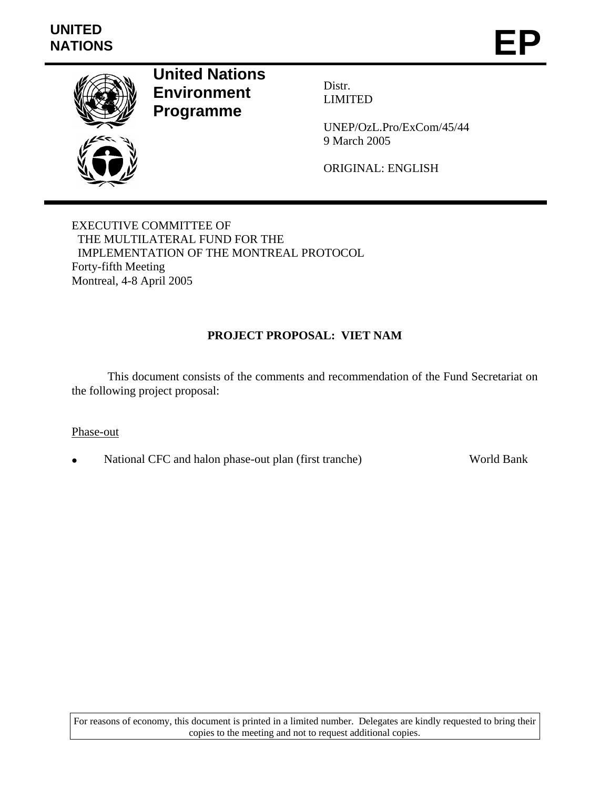

**United Nations Environment Programme** 

Distr. LIMITED

UNEP/OzL.Pro/ExCom/45/44 9 March 2005

ORIGINAL: ENGLISH

EXECUTIVE COMMITTEE OF THE MULTILATERAL FUND FOR THE IMPLEMENTATION OF THE MONTREAL PROTOCOL Forty-fifth Meeting Montreal, 4-8 April 2005

## **PROJECT PROPOSAL: VIET NAM**

 This document consists of the comments and recommendation of the Fund Secretariat on the following project proposal:

### Phase-out

• National CFC and halon phase-out plan (first tranche) World Bank

For reasons of economy, this document is printed in a limited number. Delegates are kindly requested to bring their copies to the meeting and not to request additional copies.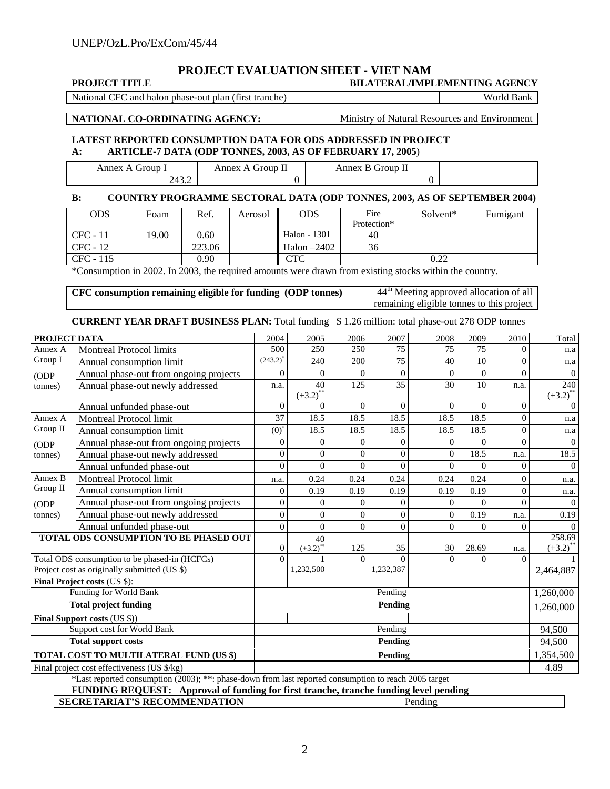# **PROJECT EVALUATION SHEET - VIET NAM**

| <b>PROJECT TITLE</b> | <b>BILATERAL/IMPLEMENTING AGENCY</b> |
|----------------------|--------------------------------------|
|----------------------|--------------------------------------|

National CFC and halon phase-out plan (first tranche) World Bank

**NATIONAL CO-ORDINATING AGENCY:** Ministry of Natural Resources and Environment

#### **LATEST REPORTED CONSUMPTION DATA FOR ODS ADDRESSED IN PROJECT A: ARTICLE-7 DATA (ODP TONNES, 2003, AS OF FEBRUARY 17, 2005**)

| -----<br>iroun<br>. .                 | --<br>$\cdots$<br><b>roup</b><br>ոոբ<br>п<br>__ | $\sim$<br>$-0.02222$<br>Allie<br>,,,<br>.<br>___ |  |
|---------------------------------------|-------------------------------------------------|--------------------------------------------------|--|
| $\sim$<br>- הי<br><u>ти</u><br>2.73.4 |                                                 | ິ                                                |  |

#### **B: COUNTRY PROGRAMME SECTORAL DATA (ODP TONNES, 2003, AS OF SEPTEMBER 2004)**

| ODS.       | Foam  | Ref.   | Aerosol | <b>ODS</b>    | Fire        | Solvent* | Fumigant |
|------------|-------|--------|---------|---------------|-------------|----------|----------|
|            |       |        |         |               | Protection* |          |          |
| $CFC - 11$ | 19.00 | 0.60   |         | Halon - 1301  | 40          |          |          |
| CFC - 12   |       | 223.06 |         | Halon $-2402$ | 36          |          |          |
| CFC - 115  |       | 0.90   |         | CTC           |             | 0.22     |          |

\*Consumption in 2002. In 2003, the required amounts were drawn from existing stocks within the country.

| CFC consumption remaining eligible for funding (ODP tonnes) | 44 <sup>th</sup> Meeting approved allocation of all |
|-------------------------------------------------------------|-----------------------------------------------------|
|                                                             | remaining eligible tonnes to this project           |

#### **CURRENT YEAR DRAFT BUSINESS PLAN:** Total funding \$ 1.26 million: total phase-out 278 ODP tonnes

| PROJECT DATA                                       |                                                                                                                       | 2004             | $\overline{2005}$                 | 2006           | 2007      | 2008      | 2009     | 2010           | Total                              |
|----------------------------------------------------|-----------------------------------------------------------------------------------------------------------------------|------------------|-----------------------------------|----------------|-----------|-----------|----------|----------------|------------------------------------|
| Annex A                                            | <b>Montreal Protocol limits</b>                                                                                       | 500              | 250                               | 250            | 75        | 75        | 75       | $\Omega$       | n.a                                |
| Group I                                            | Annual consumption limit                                                                                              | $(243.2)^{4}$    | 240                               | 200            | 75        | 40        | 10       | $\mathbf{0}$   | n.a                                |
| ODP                                                | Annual phase-out from ongoing projects                                                                                | $\mathbf{0}$     | $\theta$                          | $\overline{0}$ | $\Omega$  | $\Omega$  | $\Omega$ | $\theta$       | $\mathbf{0}$                       |
| tonnes)                                            | Annual phase-out newly addressed                                                                                      | n.a.             | 40                                | 125            | 35        | 30        | 10       | n.a.           | 240                                |
|                                                    |                                                                                                                       | $\mathbf{0}$     | $(+3.2)$ <sup>*</sup><br>$\Omega$ | $\mathbf{0}$   | $\Omega$  | $\Omega$  | $\Omega$ | $\mathbf{0}$   | $(+3.2)$ <sup>**</sup><br>$\Omega$ |
|                                                    | Annual unfunded phase-out                                                                                             |                  |                                   |                |           |           |          |                |                                    |
| Annex A                                            | <b>Montreal Protocol limit</b>                                                                                        | 37               | 18.5                              | 18.5           | 18.5      | 18.5      | 18.5     | $\overline{0}$ | n.a                                |
| Group II                                           | Annual consumption limit                                                                                              | $(0)^{*}$        | 18.5                              | 18.5           | 18.5      | 18.5      | 18.5     | $\mathbf{0}$   | n.a                                |
| ODP                                                | Annual phase-out from ongoing projects                                                                                | $\overline{0}$   | 0                                 | $\Omega$       | $\Omega$  | $\Omega$  | $\Omega$ | $\Omega$       | $\Omega$                           |
| tonnes)                                            | Annual phase-out newly addressed                                                                                      | $\boldsymbol{0}$ | $\Omega$                          | $\mathbf{0}$   | $\theta$  | $\theta$  | 18.5     | n.a.           | 18.5                               |
|                                                    | Annual unfunded phase-out                                                                                             | $\overline{0}$   | $\Omega$                          | $\overline{0}$ | $\Omega$  | $\theta$  | $\Omega$ | $\overline{0}$ | $\overline{0}$                     |
| Annex B                                            | Montreal Protocol limit                                                                                               | n.a.             | 0.24                              | 0.24           | 0.24      | 0.24      | 0.24     | $\mathbf{0}$   | n.a.                               |
| Group II                                           | Annual consumption limit                                                                                              | $\overline{0}$   | 0.19                              | 0.19           | 0.19      | 0.19      | 0.19     | $\mathbf{0}$   | n.a.                               |
| ODP                                                | Annual phase-out from ongoing projects                                                                                | $\overline{0}$   | $\theta$                          | $\theta$       | $\theta$  | $\Omega$  | $\Omega$ | $\Omega$       | $\overline{0}$                     |
| tonnes)                                            | Annual phase-out newly addressed                                                                                      | $\overline{0}$   | $\theta$                          | $\overline{0}$ | $\theta$  | $\theta$  | 0.19     | n.a.           | 0.19                               |
|                                                    | Annual unfunded phase-out                                                                                             | $\overline{0}$   | $\theta$                          | $\overline{0}$ | $\Omega$  | $\theta$  | $\Omega$ | $\Omega$       | $\Omega$                           |
|                                                    | <b>TOTAL ODS CONSUMPTION TO BE PHASED OUT</b>                                                                         |                  | 40                                |                |           |           |          |                | 258.69                             |
|                                                    |                                                                                                                       | $\boldsymbol{0}$ | $(+3.2)$                          | 125            | 35        | 30        | 28.69    | n.a.           | $(+3.2)$ <sup>**</sup>             |
|                                                    | Total ODS consumption to be phased-in (HCFCs)                                                                         | $\Omega$         |                                   | $\Omega$       | $\Omega$  | $\Omega$  | $\Omega$ | $\Omega$       |                                    |
|                                                    | Project cost as originally submitted (US \$)                                                                          |                  | 1,232,500                         |                | 1,232,387 |           |          |                | 2,464,887                          |
|                                                    | Final Project costs (US \$):                                                                                          |                  |                                   |                |           |           |          |                |                                    |
|                                                    | Funding for World Bank                                                                                                | Pending          |                                   |                |           |           |          | 1,260,000      |                                    |
|                                                    | <b>Total project funding</b>                                                                                          | Pending          |                                   |                |           | 1,260,000 |          |                |                                    |
|                                                    | Final Support costs (US \$))                                                                                          |                  |                                   |                |           |           |          |                |                                    |
| Support cost for World Bank                        |                                                                                                                       | Pending          |                                   |                |           |           |          | 94.500         |                                    |
| <b>Total support costs</b>                         |                                                                                                                       |                  | Pending                           |                |           |           |          | 94,500         |                                    |
| TOTAL COST TO MULTILATERAL FUND (US \$)<br>Pending |                                                                                                                       |                  |                                   | 1,354,500      |           |           |          |                |                                    |
|                                                    | Final project cost effectiveness (US \$/kg)                                                                           |                  |                                   | 4.89           |           |           |          |                |                                    |
|                                                    | *Last reported consumption (2003); **: phase-down from last reported consumption to reach 2005 target<br>$\mathbf{m}$ |                  |                                   |                |           |           |          |                |                                    |

**FUNDING REQUEST: Approval of funding for first tranche, tranche funding level pending** 

| <b>SECRETARIAT'S RECOMMENDATION</b> | Pending |
|-------------------------------------|---------|
|-------------------------------------|---------|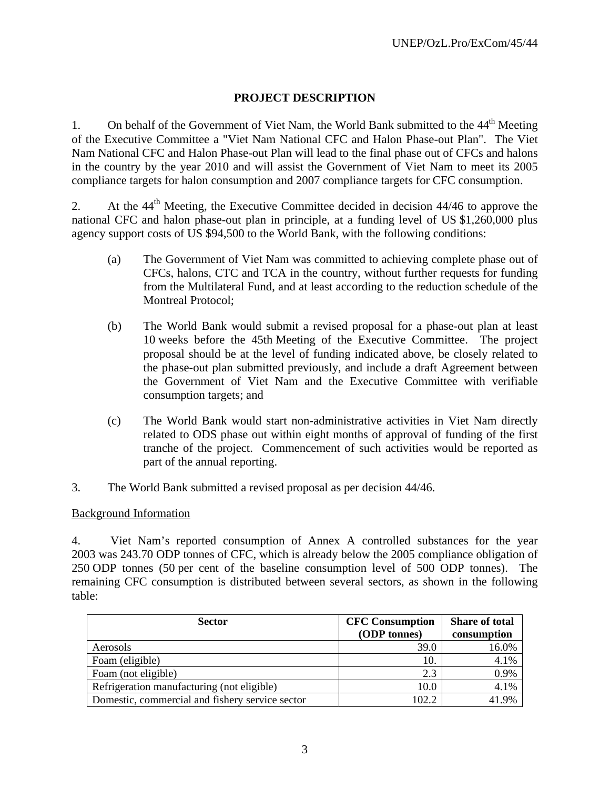## **PROJECT DESCRIPTION**

1. On behalf of the Government of Viet Nam, the World Bank submitted to the 44<sup>th</sup> Meeting of the Executive Committee a "Viet Nam National CFC and Halon Phase-out Plan". The Viet Nam National CFC and Halon Phase-out Plan will lead to the final phase out of CFCs and halons in the country by the year 2010 and will assist the Government of Viet Nam to meet its 2005 compliance targets for halon consumption and 2007 compliance targets for CFC consumption.

2. At the 44<sup>th</sup> Meeting, the Executive Committee decided in decision 44/46 to approve the national CFC and halon phase-out plan in principle, at a funding level of US \$1,260,000 plus agency support costs of US \$94,500 to the World Bank, with the following conditions:

- (a) The Government of Viet Nam was committed to achieving complete phase out of CFCs, halons, CTC and TCA in the country, without further requests for funding from the Multilateral Fund, and at least according to the reduction schedule of the Montreal Protocol;
- (b) The World Bank would submit a revised proposal for a phase-out plan at least 10 weeks before the 45th Meeting of the Executive Committee. The project proposal should be at the level of funding indicated above, be closely related to the phase-out plan submitted previously, and include a draft Agreement between the Government of Viet Nam and the Executive Committee with verifiable consumption targets; and
- (c) The World Bank would start non-administrative activities in Viet Nam directly related to ODS phase out within eight months of approval of funding of the first tranche of the project. Commencement of such activities would be reported as part of the annual reporting.
- 3. The World Bank submitted a revised proposal as per decision 44/46.

## Background Information

4. Viet Nam's reported consumption of Annex A controlled substances for the year 2003 was 243.70 ODP tonnes of CFC, which is already below the 2005 compliance obligation of 250 ODP tonnes (50 per cent of the baseline consumption level of 500 ODP tonnes). The remaining CFC consumption is distributed between several sectors, as shown in the following table:

| <b>Sector</b>                                   | <b>CFC</b> Consumption | <b>Share of total</b> |
|-------------------------------------------------|------------------------|-----------------------|
|                                                 | (ODP tonnes)           | consumption           |
| Aerosols                                        | 39.0                   | 16.0%                 |
| Foam (eligible)                                 | 10.                    | 4.1%                  |
| Foam (not eligible)                             | 2.3                    | 0.9%                  |
| Refrigeration manufacturing (not eligible)      | 10.0                   | 4.1%                  |
| Domestic, commercial and fishery service sector | 102.2                  | 41.9%                 |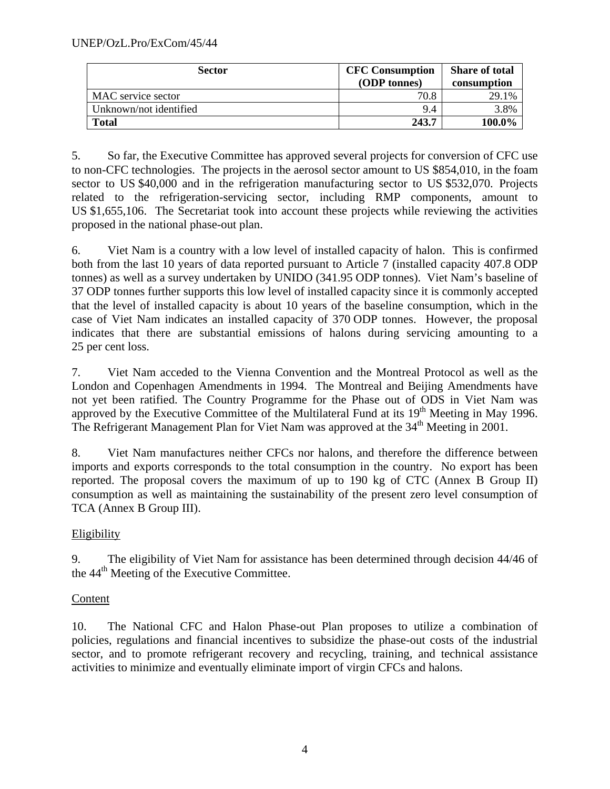| <b>Sector</b>          | <b>CFC Consumption</b><br>(ODP tonnes) | <b>Share of total</b><br>consumption |
|------------------------|----------------------------------------|--------------------------------------|
| MAC service sector     | 70.8                                   | 29.1%                                |
| Unknown/not identified | 9.4                                    | 3.8%                                 |
| <b>Total</b>           | 243.7                                  | 100.0%                               |

5. So far, the Executive Committee has approved several projects for conversion of CFC use to non-CFC technologies. The projects in the aerosol sector amount to US \$854,010, in the foam sector to US \$40,000 and in the refrigeration manufacturing sector to US \$532,070. Projects related to the refrigeration-servicing sector, including RMP components, amount to US \$1,655,106. The Secretariat took into account these projects while reviewing the activities proposed in the national phase-out plan.

6. Viet Nam is a country with a low level of installed capacity of halon. This is confirmed both from the last 10 years of data reported pursuant to Article 7 (installed capacity 407.8 ODP tonnes) as well as a survey undertaken by UNIDO (341.95 ODP tonnes). Viet Nam's baseline of 37 ODP tonnes further supports this low level of installed capacity since it is commonly accepted that the level of installed capacity is about 10 years of the baseline consumption, which in the case of Viet Nam indicates an installed capacity of 370 ODP tonnes. However, the proposal indicates that there are substantial emissions of halons during servicing amounting to a 25 per cent loss.

7. Viet Nam acceded to the Vienna Convention and the Montreal Protocol as well as the London and Copenhagen Amendments in 1994. The Montreal and Beijing Amendments have not yet been ratified. The Country Programme for the Phase out of ODS in Viet Nam was approved by the Executive Committee of the Multilateral Fund at its 19<sup>th</sup> Meeting in May 1996. The Refrigerant Management Plan for Viet Nam was approved at the 34<sup>th</sup> Meeting in 2001.

8. Viet Nam manufactures neither CFCs nor halons, and therefore the difference between imports and exports corresponds to the total consumption in the country. No export has been reported. The proposal covers the maximum of up to 190 kg of CTC (Annex B Group II) consumption as well as maintaining the sustainability of the present zero level consumption of TCA (Annex B Group III).

# Eligibility

9. The eligibility of Viet Nam for assistance has been determined through decision 44/46 of the 44<sup>th</sup> Meeting of the Executive Committee.

## **Content**

10. The National CFC and Halon Phase-out Plan proposes to utilize a combination of policies, regulations and financial incentives to subsidize the phase-out costs of the industrial sector, and to promote refrigerant recovery and recycling, training, and technical assistance activities to minimize and eventually eliminate import of virgin CFCs and halons.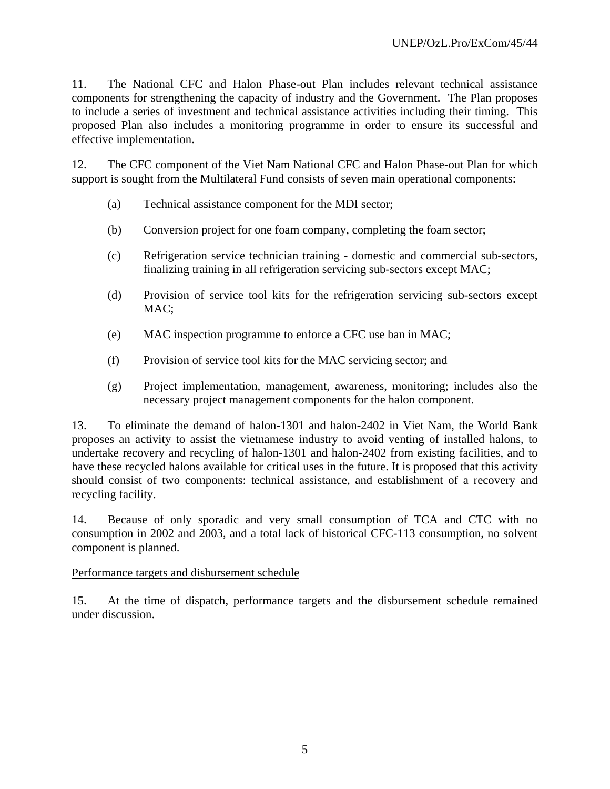11. The National CFC and Halon Phase-out Plan includes relevant technical assistance components for strengthening the capacity of industry and the Government. The Plan proposes to include a series of investment and technical assistance activities including their timing. This proposed Plan also includes a monitoring programme in order to ensure its successful and effective implementation.

12. The CFC component of the Viet Nam National CFC and Halon Phase-out Plan for which support is sought from the Multilateral Fund consists of seven main operational components:

- (a) Technical assistance component for the MDI sector;
- (b) Conversion project for one foam company, completing the foam sector;
- (c) Refrigeration service technician training domestic and commercial sub-sectors, finalizing training in all refrigeration servicing sub-sectors except MAC;
- (d) Provision of service tool kits for the refrigeration servicing sub-sectors except MAC;
- (e) MAC inspection programme to enforce a CFC use ban in MAC;
- (f) Provision of service tool kits for the MAC servicing sector; and
- (g) Project implementation, management, awareness, monitoring; includes also the necessary project management components for the halon component.

13. To eliminate the demand of halon-1301 and halon-2402 in Viet Nam, the World Bank proposes an activity to assist the vietnamese industry to avoid venting of installed halons, to undertake recovery and recycling of halon-1301 and halon-2402 from existing facilities, and to have these recycled halons available for critical uses in the future. It is proposed that this activity should consist of two components: technical assistance, and establishment of a recovery and recycling facility.

14. Because of only sporadic and very small consumption of TCA and CTC with no consumption in 2002 and 2003, and a total lack of historical CFC-113 consumption, no solvent component is planned.

### Performance targets and disbursement schedule

15. At the time of dispatch, performance targets and the disbursement schedule remained under discussion.